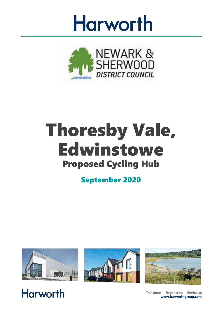



# Thoresby Vale, Edwinstowe Proposed Cycling Hub

September 2020



**Harworth** 





Transform Regenerate Revitalise www.harworthgroup.com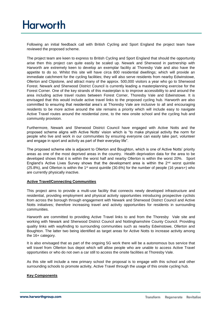Following an initial feedback call with British Cycling and Sport England the project team have reviewed the proposed scheme.

The project team are keen to express to British Cycling and Sport England that should the opportunity arise then this project can quite easily be scaled up. Newark and Sherwood in partnership with Harworth are extremely keen to develop an exemplar facility at Thoresby Vale and also have the appetite to do so. Whilst this site will have circa 800 residential dwellings; which will provide an immediate catchment for the cycling facilities; they will also serve residents from nearby Edwinstowe, Ollerton and Clipstone, and attract many of the approx. 500,000 visitors a year who go to Sherwood Forest. Newark and Sherwood District Council is currently leading a masterplanning exercise for the Forest Corner. One of the key strands of this masterplan is to improve accessibility to and around the area including active travel routes between Forest Corner, Thoresby Vale and Edwinstowe. It is envisaged that this would include active travel links to the proposed cycling hub. Harworth are also committed to ensuring that residential area's at Thoresby Vale are inclusive to all and encouraging residents to be more active around the site remains a priority which will include easy to navigate Active Travel routes around the residential zone, to the new onsite school and the cycling hub and community provision.

Furthermore, Newark and Sherwood District Council have engaged with Active Notts and the proposed scheme aligns with Active Notts' vision which is "to make physical activity the norm for people who live and work in our communities by ensuring everyone can easily take part, volunteer and engage in sport and activity as part of their everyday life".

The proposed scheme site is adjacent to Ollerton and Boughton, which is one of Active Notts' priority areas as one of the most deprived areas in the country. Health deprivation data for the area to be developed shows that it is within the worst half and nearby Ollerton is within the worst 20%. Sport England's Active Lives Survey shows that the development area is within the  $2<sup>nd</sup>$  worst quintile  $(25.8\%)$ , and Ollerton is within the 1<sup>st</sup> worst quintile (30.6%) for the number of people (16 years+) who are currently physically inactive.

#### **Active Travel/Connecting Communities**

This project aims to provide a multi-use facility that connects newly developed infrastructure and residential, providing employment and physical activity opportunities introducing prospective cyclists from across the borough through engagement with Newark and Sherwood District Council and Active Notts initiatives; therefore increasing travel and activity opportunities for residents in surrounding communities.

Harworth are committed to providing Active Travel links to and from the Thoresby Vale site and working with Newark and Sherwood District Council and Nottinghamshire County Council. Providing quality links with wayfinding to surrounding communities such as nearby Edwinstowe, Ollerton and Boughton. The latter two being identified as target areas for Active Notts to increase activity among the 16+ category.

It is also envisaged that as part of the ongoing 5G work there will be a autonomous bus service that will travel from Ollerton bus depot which will allow people who are unable to access Active Travel opportunities or who do not own a car still to access the onsite facilities at Thoresby Vale.

As this site will include a new primary school the proposal is to engage with this school and other surrounding schools to promote activity, Active Travel through the usage of this onsite cycling hub.

#### **Key Components**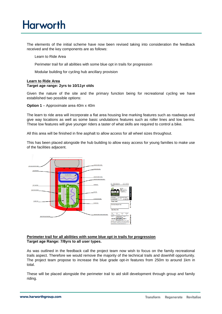The elements of the initial scheme have now been revised taking into consideration the feedback received and the key components are as follows:

Learn to Ride Area

Perimeter trail for all abilities with some blue opt in trails for progression

Modular building for cycling hub ancillary provision

#### **Learn to Ride Area Target age range: 2yrs to 10/11yr olds**

Given the nature of the site and the primary function being for recreational cycling we have established two possible options:

**Option 1** – Approximate area 40m x 40m

The learn to ride area will incorporate a flat area housing line marking features such as roadways and give way locations as well as some basic undulations features such as roller lines and low berms. These low features will give younger riders a taster of what skills are required to control a bike.

All this area will be finished in fine asphalt to allow access for all wheel sizes throughout.

This has been placed alongside the hub building to allow easy access for young families to make use of the facilities adjacent.



#### **Perimeter trail for all abilities with some blue opt in trails for progression Target age Range: 7/8yrs to all user types.**

As was outlined in the feedback call the project team now wish to focus on the family recreational trails aspect. Therefore we would remove the majority of the technical trails and downhill opportunity. The project team propose to increase the blue grade opt-in features from 250m to around 1km in total.

These will be placed alongside the perimeter trail to aid skill development through group and family riding.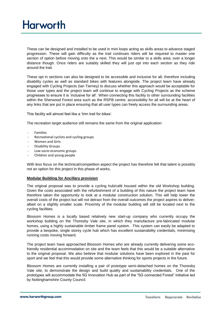These can be designed and installed to be used in mini loops acting as skills areas to advance staged progression. These will gain difficulty as the trail continues riders will be required to master one section of option before moving onto the a next. This would be similar to a skills area; over a longer distance though. Once riders are suitably skilled they will just opt into each section as they ride around the trail.

These opt in sections can also be designed to be accessible and inclusive for all; therefore including disability cycles as well as standard bikes with features alongside. The project team have already engaged with Cycling Projects (Ian Tierney) to discuss whether this approach would be acceptable for those user types and the project team will continue to engage with Cycling Projects as the scheme progresses to ensure it is 'inclusive for all'. When connecting this facility to other surrounding facilities within the Sherwood Forest area such as the RSPB centre; accessibility for all will be at the heart of any links that are put in place ensuring that all user types can freely access the surrounding areas.

This facility will almost feel like a 'trim trail for bikes'.

The recreation target audience still remains the same from the original application:

- Families
- Recreational cyclists and cycling groups
- Women and Girls
- Disability Groups
- Low socio-economic groups
- Children and young people

With less focus on the technical/competition aspect the project has therefore felt that talent is possibly not an option for this project in this phase of works.

#### **Modular Building for Ancillary provision**

The original proposal was to provide a cycling hub/café housed within the old Workshop building. Given the costs associated with the refurbishment of a building of this nature the project team have therefore taken the opportunity to look at a modular construction solution. This will help lower the overall costs of the project but will not detract from the overall outcomes the project aspires to deliver; albeit on a slightly smaller scale. Proximity of the modular building will still be located next to the cycling facilities.

Blossom Homes is a locally based relatively new start-up company who currently occupy the workshop building on the Thoresby Vale site, in which they manufacture pre-fabricated modular homes, using a highly sustainable timber frame panel system. This system can easily be adapted to provide a bespoke, single storey cycle hub which has excellent sustainability credentials, minimising running costs moving forward.

The project team have approached Blossom Homes who are already currently delivering some ecofriendly residential accommodation on site and the team feels that this would be a suitable alternative to the original proposal. We also believe that modular solutions have been explored in the past for sport and we feel that this would provide some alternative thinking for sports projects in the future.

Blossom Homes are currently installing a pair of prototype semi-detached homes on the Thoresby Vale site, to demonstrate the design and build quality and sustainability credentials. One of the prototypes will accommodate the 5G Innovation Hub as part of the "5G connected Forest" initiative led by Nottinghamshire County Council.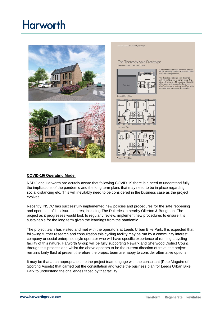

The Thoresby Vale Prototype 2 Red Area: 81 sam | 3 Red Area: 110 sa

The Thoreshy Prototype



Floor Plan



A pair of semi-detached units to be e<br>on the upcoming Thoresby Vale deve<br>in North Nottinghamshire.

The three bed prototype semi-detached<br>unit will be fitted out as a show home. The<br>other will serve as a 5G innovation Hub.<br>office space on the upper level and ope<br>plan function space on the ground floor

### **COVID-19/ Operating Model**

NSDC and Harworth are acutely aware that following COVID-19 there is a need to understand fully the implications of the pandemic and the long term plans that may need to be in place regarding social distancing etc. This will inevitably need to be considered in the business case as the project evolves.

Recently, NSDC has successfully implemented new policies and procedures for the safe reopening and operation of its leisure centres, including The Dukeries in nearby Ollerton & Boughton. The project as it progresses would look to regularly review, implement new procedures to ensure it is sustainable for the long term given the learnings from the pandemic.

The project team has visited and met with the operators at Leeds Urban Bike Park. It is expected that following further research and consultation this cycling facility may be run by a community interest company or social enterprise style operator who will have specific experience of running a cycling facility of this nature. Harworth Group will be fully supporting Newark and Sherwood District Council through this process and whilst the above appears to be the current direction of travel the project remains fairly fluid at present therefore the project team are happy to consider alternative options.

It may be that at an appropriate time the project team engage with the consultant (Pete Maguire of Sporting Assets) that carried out the consultation and wrote the business plan for Leeds Urban Bike Park to understand the challenges faced by that facility.